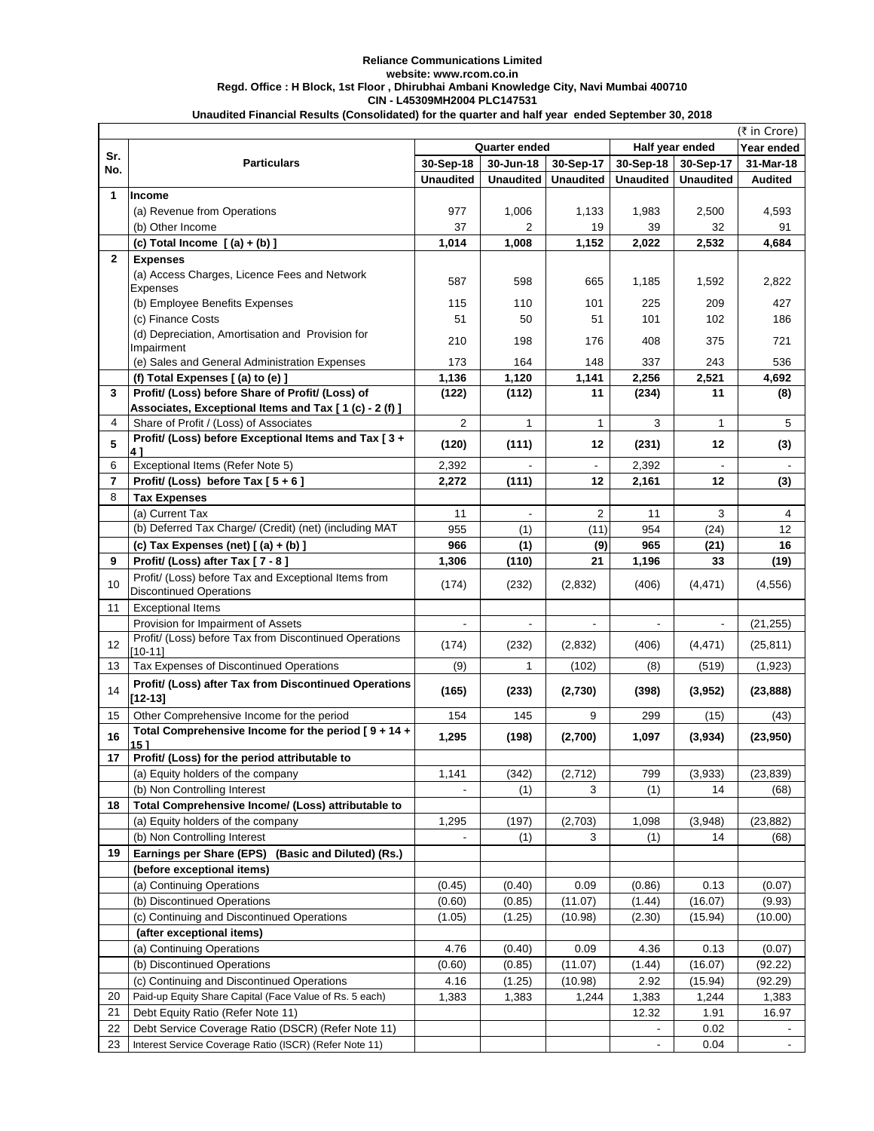## **Reliance Communications Limited website: www.rcom.co.in Regd. Office : H Block, 1st Floor , Dhirubhai Ambani Knowledge City, Navi Mumbai 400710 CIN - L45309MH2004 PLC147531**

|                | Unaudited Financial Results (Consolidated) for the quarter and half year ended September 30, 2018 |                          |                  |                          |                  |                          |                |  |  |
|----------------|---------------------------------------------------------------------------------------------------|--------------------------|------------------|--------------------------|------------------|--------------------------|----------------|--|--|
|                | (₹ in Crore)                                                                                      |                          |                  |                          |                  |                          |                |  |  |
| Sr.            |                                                                                                   | Quarter ended            |                  |                          | Half year ended  |                          | Year ended     |  |  |
| No.            | <b>Particulars</b>                                                                                | 30-Sep-18                | 30-Jun-18        | 30-Sep-17                | 30-Sep-18        | 30-Sep-17                | 31-Mar-18      |  |  |
|                |                                                                                                   | <b>Unaudited</b>         | <b>Unaudited</b> | <b>Unaudited</b>         | <b>Unaudited</b> | <b>Unaudited</b>         | <b>Audited</b> |  |  |
| 1              | <b>Income</b>                                                                                     |                          |                  |                          |                  |                          |                |  |  |
|                | (a) Revenue from Operations                                                                       | 977                      | 1,006            | 1,133                    | 1,983            | 2,500                    | 4,593          |  |  |
|                | (b) Other Income                                                                                  | 37                       | $\overline{2}$   | 19                       | 39               | 32                       | 91             |  |  |
|                | (c) Total Income $(a) + (b)$ ]                                                                    | 1,014                    | 1,008            | 1,152                    | 2,022            | 2,532                    | 4,684          |  |  |
| $\mathbf{2}$   | <b>Expenses</b>                                                                                   |                          |                  |                          |                  |                          |                |  |  |
|                | (a) Access Charges, Licence Fees and Network                                                      | 587                      | 598              | 665                      | 1,185            | 1,592                    | 2,822          |  |  |
|                | Expenses<br>(b) Employee Benefits Expenses                                                        | 115                      | 110              | 101                      | 225              | 209                      | 427            |  |  |
|                | (c) Finance Costs                                                                                 | 51                       | 50               | 51                       | 101              | 102                      | 186            |  |  |
|                | (d) Depreciation, Amortisation and Provision for                                                  |                          |                  |                          |                  |                          |                |  |  |
|                | Impairment                                                                                        | 210                      | 198              | 176                      | 408              | 375                      | 721            |  |  |
|                | (e) Sales and General Administration Expenses                                                     | 173                      | 164              | 148                      | 337              | 243                      | 536            |  |  |
|                | (f) Total Expenses [(a) to (e) ]                                                                  | 1,136                    | 1,120            | 1,141                    | 2,256            | 2,521                    | 4,692          |  |  |
| 3              | Profit/ (Loss) before Share of Profit/ (Loss) of                                                  | (122)                    | (112)            | 11                       | (234)            | 11                       | (8)            |  |  |
|                | Associates, Exceptional Items and Tax [1(c) - 2(f)]                                               |                          |                  |                          |                  |                          |                |  |  |
| 4              | Share of Profit / (Loss) of Associates                                                            | $\overline{2}$           | $\mathbf{1}$     | $\mathbf{1}$             | 3                | $\mathbf{1}$             | 5              |  |  |
| 5              | Profit/ (Loss) before Exceptional Items and Tax [3+<br>41                                         | (120)                    | (111)            | 12                       | (231)            | 12                       | (3)            |  |  |
| 6              | Exceptional Items (Refer Note 5)                                                                  | 2,392                    |                  | $\overline{\phantom{a}}$ | 2,392            |                          |                |  |  |
| $\overline{7}$ | Profit/ (Loss) before Tax $[5+6]$                                                                 | 2,272                    | (111)            | 12                       | 2,161            | 12                       | (3)            |  |  |
| 8              | <b>Tax Expenses</b>                                                                               |                          |                  |                          |                  |                          |                |  |  |
|                | (a) Current Tax                                                                                   | 11                       | $\blacksquare$   | $\overline{2}$           | 11               | 3                        | 4              |  |  |
|                | (b) Deferred Tax Charge/ (Credit) (net) (including MAT                                            | 955                      | (1)              | (11)                     | 954              | (24)                     | 12             |  |  |
|                | (c) Tax Expenses (net) $[ (a) + (b) ]$                                                            | 966                      | (1)              | (9)                      | 965              | (21)                     | 16             |  |  |
| 9              | Profit/ (Loss) after Tax [7 - 8]                                                                  | 1,306                    | (110)            | 21                       | 1,196            | 33                       | (19)           |  |  |
| 10             | Profit/ (Loss) before Tax and Exceptional Items from<br><b>Discontinued Operations</b>            | (174)                    | (232)            | (2,832)                  | (406)            | (4, 471)                 | (4, 556)       |  |  |
| 11             | <b>Exceptional Items</b>                                                                          |                          |                  |                          |                  |                          |                |  |  |
|                | Provision for Impairment of Assets                                                                |                          | $\blacksquare$   |                          |                  | $\overline{\phantom{a}}$ | (21, 255)      |  |  |
| 12             | Profit/ (Loss) before Tax from Discontinued Operations<br>$[10-11]$                               | (174)                    | (232)            | (2,832)                  | (406)            | (4, 471)                 | (25, 811)      |  |  |
| 13             | Tax Expenses of Discontinued Operations                                                           | (9)                      | 1                | (102)                    | (8)              | (519)                    | (1,923)        |  |  |
| 14             | Profit/ (Loss) after Tax from Discontinued Operations<br>$[12 - 13]$                              | (165)                    | (233)            | (2,730)                  | (398)            | (3,952)                  | (23, 888)      |  |  |
| 15             | Other Comprehensive Income for the period                                                         | 154                      | 145              | 9                        | 299              | (15)                     | (43)           |  |  |
| 16             | Total Comprehensive Income for the period [9 + 14 +<br>151                                        | 1,295                    | (198)            | (2,700)                  | 1,097            | (3,934)                  | (23,950)       |  |  |
| 17             | Profit/ (Loss) for the period attributable to                                                     |                          |                  |                          |                  |                          |                |  |  |
|                | (a) Equity holders of the company                                                                 | 1,141                    | (342)            | (2,712)                  | 799              | (3,933)                  | (23, 839)      |  |  |
|                | (b) Non Controlling Interest                                                                      | $\overline{\phantom{a}}$ | (1)              | 3                        | (1)              | 14                       | (68)           |  |  |
| 18             | Total Comprehensive Income/ (Loss) attributable to                                                |                          |                  |                          |                  |                          |                |  |  |
|                | (a) Equity holders of the company                                                                 | 1,295                    | (197)            | (2,703)                  | 1,098            | (3,948)                  | (23, 882)      |  |  |
|                | (b) Non Controlling Interest                                                                      | $\overline{\phantom{a}}$ | (1)              | 3                        | (1)              | 14                       | (68)           |  |  |
| 19             | Earnings per Share (EPS)<br>(Basic and Diluted) (Rs.)                                             |                          |                  |                          |                  |                          |                |  |  |
|                | (before exceptional items)                                                                        |                          |                  |                          |                  |                          |                |  |  |
|                | (a) Continuing Operations                                                                         | (0.45)                   | (0.40)           | 0.09                     | (0.86)           | 0.13                     | (0.07)         |  |  |
|                | (b) Discontinued Operations                                                                       | (0.60)                   | (0.85)           | (11.07)                  | (1.44)           | (16.07)                  | (9.93)         |  |  |
|                | (c) Continuing and Discontinued Operations                                                        | (1.05)                   | (1.25)           | (10.98)                  | (2.30)           | (15.94)                  | (10.00)        |  |  |
|                | (after exceptional items)                                                                         |                          |                  |                          |                  |                          |                |  |  |

(a) Continuing Operations (a) Continuing Operations (a) 4.76 (0.40) 0.09 4.36 0.13 (0.07) (b) Discontinued Operations (0.60) (0.60) (0.85) (11.07) (1.44) (16.07) (92.22) (c) Continuing and Discontinued Operations 4.16 (1.25) (10.98) 2.92 (15.94) (92.29) 20 Paid-up Equity Share Capital (Face Value of Rs. 5 each) 1,383 1,383 1,244 1,383 1,244 1,383 1,244 1,383 21 Debt Equity Ratio (Refer Note 11) 12.32 1.91 16.97 22 Debt Service Coverage Ratio (DSCR) (Refer Note 11) - 0.02 - 23 Interest Service Coverage Ratio (ISCR) (Refer Note 11)  $\qquad \qquad$  0.04 - 0.04 -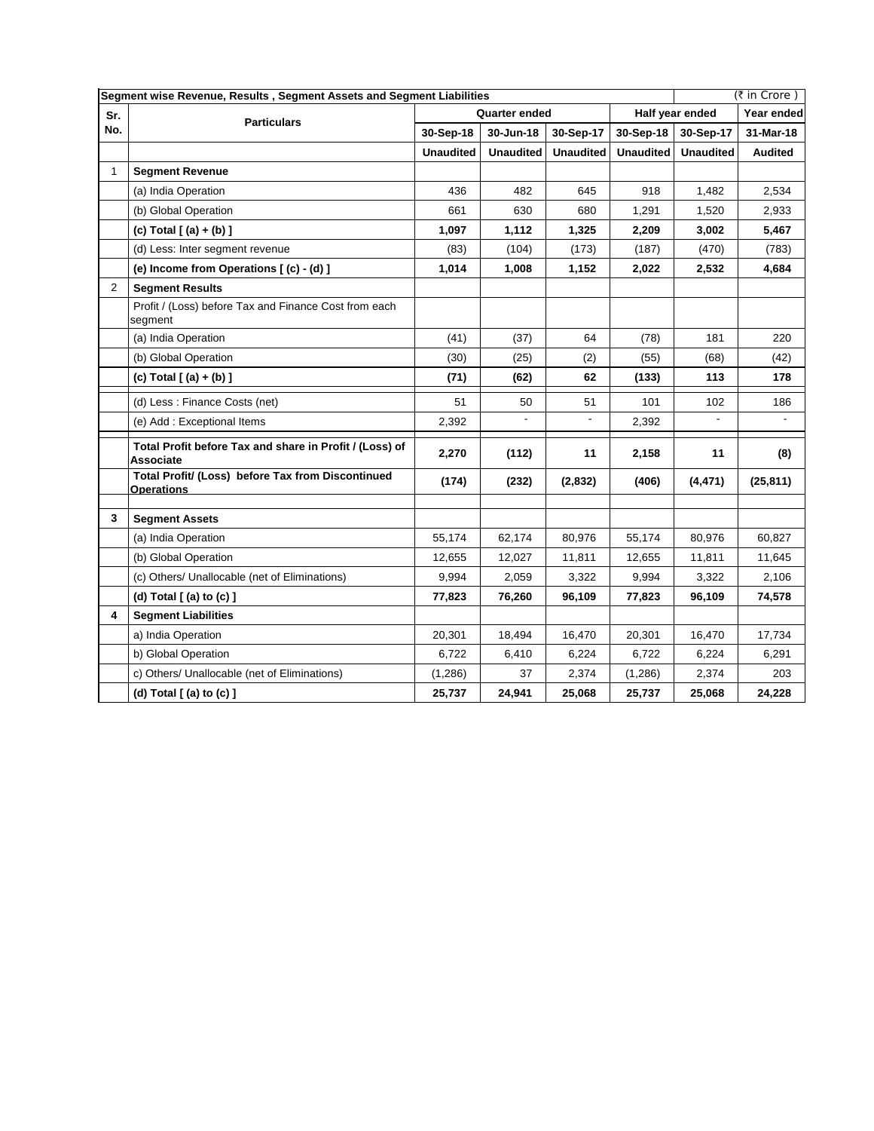|              | Segment wise Revenue, Results, Segment Assets and Segment Liabilities  |                  |                      |                  |                  | (₹ in Crore)     |                |
|--------------|------------------------------------------------------------------------|------------------|----------------------|------------------|------------------|------------------|----------------|
| Sr.          | <b>Particulars</b>                                                     |                  | <b>Quarter ended</b> |                  |                  | Half year ended  | Year ended     |
| No.          |                                                                        | 30-Sep-18        | 30-Jun-18            | 30-Sep-17        | 30-Sep-18        | 30-Sep-17        | 31-Mar-18      |
|              |                                                                        | <b>Unaudited</b> | <b>Unaudited</b>     | <b>Unaudited</b> | <b>Unaudited</b> | <b>Unaudited</b> | <b>Audited</b> |
| $\mathbf{1}$ | <b>Segment Revenue</b>                                                 |                  |                      |                  |                  |                  |                |
|              | (a) India Operation                                                    | 436              | 482                  | 645              | 918              | 1,482            | 2,534          |
|              | (b) Global Operation                                                   | 661              | 630                  | 680              | 1,291            | 1,520            | 2,933          |
|              | (c) Total $[ (a) + (b) ]$                                              | 1,097            | 1,112                | 1,325            | 2,209            | 3,002            | 5,467          |
|              | (d) Less: Inter segment revenue                                        | (83)             | (104)                | (173)            | (187)            | (470)            | (783)          |
|              | (e) Income from Operations [(c) - (d) ]                                | 1,014            | 1,008                | 1,152            | 2,022            | 2,532            | 4,684          |
| 2            | <b>Segment Results</b>                                                 |                  |                      |                  |                  |                  |                |
|              | Profit / (Loss) before Tax and Finance Cost from each<br>segment       |                  |                      |                  |                  |                  |                |
|              | (a) India Operation                                                    | (41)             | (37)                 | 64               | (78)             | 181              | 220            |
|              | (b) Global Operation                                                   | (30)             | (25)                 | (2)              | (55)             | (68)             | (42)           |
|              | (c) Total $(a) + (b)$ ]                                                | (71)             | (62)                 | 62               | (133)            | 113              | 178            |
|              | (d) Less: Finance Costs (net)                                          | 51               | 50                   | 51               | 101              | 102              | 186            |
|              | (e) Add : Exceptional Items                                            | 2,392            | $\blacksquare$       |                  | 2,392            |                  |                |
|              | Total Profit before Tax and share in Profit / (Loss) of<br>Associate   | 2,270            | (112)                | 11               | 2,158            | 11               | (8)            |
|              | Total Profit/ (Loss) before Tax from Discontinued<br><u>Operations</u> | (174)            | (232)                | (2,832)          | (406)            | (4, 471)         | (25, 811)      |
| 3            | <b>Segment Assets</b>                                                  |                  |                      |                  |                  |                  |                |
|              | (a) India Operation                                                    | 55,174           | 62,174               | 80,976           | 55,174           | 80,976           | 60,827         |
|              | (b) Global Operation                                                   | 12,655           | 12,027               | 11,811           | 12,655           | 11,811           | 11,645         |
|              | (c) Others/ Unallocable (net of Eliminations)                          | 9,994            | 2,059                | 3,322            | 9,994            | 3,322            | 2,106          |
|              | (d) Total $[$ (a) to $(c)$ $]$                                         | 77,823           | 76,260               | 96,109           | 77,823           | 96,109           | 74,578         |
| 4            | <b>Segment Liabilities</b>                                             |                  |                      |                  |                  |                  |                |
|              | a) India Operation                                                     | 20,301           | 18,494               | 16,470           | 20,301           | 16,470           | 17,734         |
|              | b) Global Operation                                                    | 6,722            | 6,410                | 6,224            | 6,722            | 6,224            | 6,291          |
|              | c) Others/ Unallocable (net of Eliminations)                           | (1,286)          | 37                   | 2,374            | (1,286)          | 2,374            | 203            |
|              | (d) Total $[$ (a) to $(c)$ $]$                                         | 25,737           | 24,941               | 25,068           | 25,737           | 25,068           | 24,228         |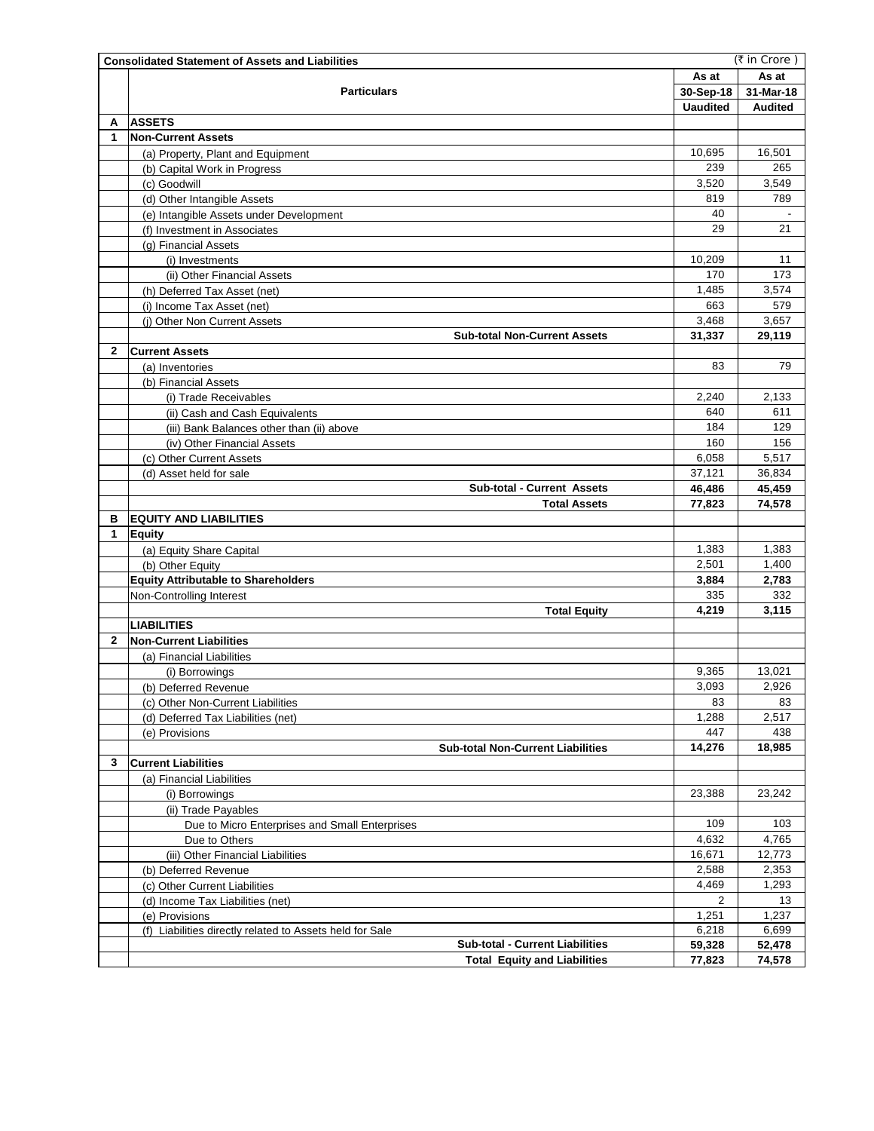| As at<br>As at<br>31-Mar-18<br><b>Particulars</b><br>30-Sep-18<br><b>Uaudited</b><br><b>Audited</b><br><b>ASSETS</b><br>А<br><b>Non-Current Assets</b><br>1<br>10,695<br>16,501<br>(a) Property, Plant and Equipment<br>239<br>265<br>(b) Capital Work in Progress<br>3,520<br>3,549<br>(c) Goodwill<br>819<br>789<br>(d) Other Intangible Assets<br>40<br>(e) Intangible Assets under Development<br>29<br>21<br>(f) Investment in Associates<br>(g) Financial Assets<br>10,209<br>11<br>(i) Investments<br>170<br>173<br>(ii) Other Financial Assets<br>3,574<br>1,485<br>(h) Deferred Tax Asset (net)<br>579<br>663<br>(i) Income Tax Asset (net)<br>3,468<br>3,657<br>(i) Other Non Current Assets<br><b>Sub-total Non-Current Assets</b><br>31,337<br>29,119<br>2<br><b>Current Assets</b><br>79<br>83<br>(a) Inventories<br>(b) Financial Assets<br>2,240<br>2,133<br>(i) Trade Receivables<br>640<br>611<br>(ii) Cash and Cash Equivalents<br>129<br>184<br>(iii) Bank Balances other than (ii) above<br>160<br>156<br>(iv) Other Financial Assets<br>6,058<br>5,517<br>(c) Other Current Assets<br>37,121<br>36,834<br>(d) Asset held for sale<br>Sub-total - Current Assets<br>45,459<br>46,486<br><b>Total Assets</b><br>77,823<br>74,578<br>в<br><b>EQUITY AND LIABILITIES</b><br>1<br><b>Equity</b><br>1,383<br>1,383<br>(a) Equity Share Capital<br>2,501<br>1,400<br>(b) Other Equity<br>2,783<br><b>Equity Attributable to Shareholders</b><br>3,884<br>335<br>332<br>Non-Controlling Interest<br>4,219<br>3,115<br><b>Total Equity</b><br><b>LIABILITIES</b><br>$\mathbf{2}$<br><b>Non-Current Liabilities</b><br>(a) Financial Liabilities<br>9,365<br>13,021<br>(i) Borrowings<br>3,093<br>2,926<br>(b) Deferred Revenue<br>83<br>83<br>(c) Other Non-Current Liabilities<br>1,288<br>2,517<br>(d) Deferred Tax Liabilities (net)<br>447<br>438<br>(e) Provisions<br><b>Sub-total Non-Current Liabilities</b><br>14,276<br>18,985<br><b>Current Liabilities</b><br>3<br>(a) Financial Liabilities<br>23,388<br>23,242<br>(i) Borrowings<br>(ii) Trade Payables<br>109<br>103<br>Due to Micro Enterprises and Small Enterprises<br>4,632<br>4,765<br>Due to Others<br>16,671<br>12,773<br>(iii) Other Financial Liabilities<br>2,588<br>2,353<br>(b) Deferred Revenue<br>1,293<br>4,469<br>(c) Other Current Liabilities<br>2<br>13<br>(d) Income Tax Liabilities (net)<br>1,237<br>1,251<br>(e) Provisions<br>6,699<br>(f) Liabilities directly related to Assets held for Sale<br>6,218<br><b>Sub-total - Current Liabilities</b><br>59,328<br>52,478 | (₹ in Crore)<br><b>Consolidated Statement of Assets and Liabilities</b> |        |        |  |  |  |  |  |
|--------------------------------------------------------------------------------------------------------------------------------------------------------------------------------------------------------------------------------------------------------------------------------------------------------------------------------------------------------------------------------------------------------------------------------------------------------------------------------------------------------------------------------------------------------------------------------------------------------------------------------------------------------------------------------------------------------------------------------------------------------------------------------------------------------------------------------------------------------------------------------------------------------------------------------------------------------------------------------------------------------------------------------------------------------------------------------------------------------------------------------------------------------------------------------------------------------------------------------------------------------------------------------------------------------------------------------------------------------------------------------------------------------------------------------------------------------------------------------------------------------------------------------------------------------------------------------------------------------------------------------------------------------------------------------------------------------------------------------------------------------------------------------------------------------------------------------------------------------------------------------------------------------------------------------------------------------------------------------------------------------------------------------------------------------------------------------------------------------------------------------------------------------------------------------------------------------------------------------------------------------------------------------------------------------------------------------------------------------------------------------------------------------------------------------------------------------------------------------------------------------------------------------------------------------------------------|-------------------------------------------------------------------------|--------|--------|--|--|--|--|--|
|                                                                                                                                                                                                                                                                                                                                                                                                                                                                                                                                                                                                                                                                                                                                                                                                                                                                                                                                                                                                                                                                                                                                                                                                                                                                                                                                                                                                                                                                                                                                                                                                                                                                                                                                                                                                                                                                                                                                                                                                                                                                                                                                                                                                                                                                                                                                                                                                                                                                                                                                                                          |                                                                         |        |        |  |  |  |  |  |
|                                                                                                                                                                                                                                                                                                                                                                                                                                                                                                                                                                                                                                                                                                                                                                                                                                                                                                                                                                                                                                                                                                                                                                                                                                                                                                                                                                                                                                                                                                                                                                                                                                                                                                                                                                                                                                                                                                                                                                                                                                                                                                                                                                                                                                                                                                                                                                                                                                                                                                                                                                          |                                                                         |        |        |  |  |  |  |  |
|                                                                                                                                                                                                                                                                                                                                                                                                                                                                                                                                                                                                                                                                                                                                                                                                                                                                                                                                                                                                                                                                                                                                                                                                                                                                                                                                                                                                                                                                                                                                                                                                                                                                                                                                                                                                                                                                                                                                                                                                                                                                                                                                                                                                                                                                                                                                                                                                                                                                                                                                                                          |                                                                         |        |        |  |  |  |  |  |
|                                                                                                                                                                                                                                                                                                                                                                                                                                                                                                                                                                                                                                                                                                                                                                                                                                                                                                                                                                                                                                                                                                                                                                                                                                                                                                                                                                                                                                                                                                                                                                                                                                                                                                                                                                                                                                                                                                                                                                                                                                                                                                                                                                                                                                                                                                                                                                                                                                                                                                                                                                          |                                                                         |        |        |  |  |  |  |  |
|                                                                                                                                                                                                                                                                                                                                                                                                                                                                                                                                                                                                                                                                                                                                                                                                                                                                                                                                                                                                                                                                                                                                                                                                                                                                                                                                                                                                                                                                                                                                                                                                                                                                                                                                                                                                                                                                                                                                                                                                                                                                                                                                                                                                                                                                                                                                                                                                                                                                                                                                                                          |                                                                         |        |        |  |  |  |  |  |
|                                                                                                                                                                                                                                                                                                                                                                                                                                                                                                                                                                                                                                                                                                                                                                                                                                                                                                                                                                                                                                                                                                                                                                                                                                                                                                                                                                                                                                                                                                                                                                                                                                                                                                                                                                                                                                                                                                                                                                                                                                                                                                                                                                                                                                                                                                                                                                                                                                                                                                                                                                          |                                                                         |        |        |  |  |  |  |  |
|                                                                                                                                                                                                                                                                                                                                                                                                                                                                                                                                                                                                                                                                                                                                                                                                                                                                                                                                                                                                                                                                                                                                                                                                                                                                                                                                                                                                                                                                                                                                                                                                                                                                                                                                                                                                                                                                                                                                                                                                                                                                                                                                                                                                                                                                                                                                                                                                                                                                                                                                                                          |                                                                         |        |        |  |  |  |  |  |
|                                                                                                                                                                                                                                                                                                                                                                                                                                                                                                                                                                                                                                                                                                                                                                                                                                                                                                                                                                                                                                                                                                                                                                                                                                                                                                                                                                                                                                                                                                                                                                                                                                                                                                                                                                                                                                                                                                                                                                                                                                                                                                                                                                                                                                                                                                                                                                                                                                                                                                                                                                          |                                                                         |        |        |  |  |  |  |  |
|                                                                                                                                                                                                                                                                                                                                                                                                                                                                                                                                                                                                                                                                                                                                                                                                                                                                                                                                                                                                                                                                                                                                                                                                                                                                                                                                                                                                                                                                                                                                                                                                                                                                                                                                                                                                                                                                                                                                                                                                                                                                                                                                                                                                                                                                                                                                                                                                                                                                                                                                                                          |                                                                         |        |        |  |  |  |  |  |
|                                                                                                                                                                                                                                                                                                                                                                                                                                                                                                                                                                                                                                                                                                                                                                                                                                                                                                                                                                                                                                                                                                                                                                                                                                                                                                                                                                                                                                                                                                                                                                                                                                                                                                                                                                                                                                                                                                                                                                                                                                                                                                                                                                                                                                                                                                                                                                                                                                                                                                                                                                          |                                                                         |        |        |  |  |  |  |  |
|                                                                                                                                                                                                                                                                                                                                                                                                                                                                                                                                                                                                                                                                                                                                                                                                                                                                                                                                                                                                                                                                                                                                                                                                                                                                                                                                                                                                                                                                                                                                                                                                                                                                                                                                                                                                                                                                                                                                                                                                                                                                                                                                                                                                                                                                                                                                                                                                                                                                                                                                                                          |                                                                         |        |        |  |  |  |  |  |
|                                                                                                                                                                                                                                                                                                                                                                                                                                                                                                                                                                                                                                                                                                                                                                                                                                                                                                                                                                                                                                                                                                                                                                                                                                                                                                                                                                                                                                                                                                                                                                                                                                                                                                                                                                                                                                                                                                                                                                                                                                                                                                                                                                                                                                                                                                                                                                                                                                                                                                                                                                          |                                                                         |        |        |  |  |  |  |  |
|                                                                                                                                                                                                                                                                                                                                                                                                                                                                                                                                                                                                                                                                                                                                                                                                                                                                                                                                                                                                                                                                                                                                                                                                                                                                                                                                                                                                                                                                                                                                                                                                                                                                                                                                                                                                                                                                                                                                                                                                                                                                                                                                                                                                                                                                                                                                                                                                                                                                                                                                                                          |                                                                         |        |        |  |  |  |  |  |
|                                                                                                                                                                                                                                                                                                                                                                                                                                                                                                                                                                                                                                                                                                                                                                                                                                                                                                                                                                                                                                                                                                                                                                                                                                                                                                                                                                                                                                                                                                                                                                                                                                                                                                                                                                                                                                                                                                                                                                                                                                                                                                                                                                                                                                                                                                                                                                                                                                                                                                                                                                          |                                                                         |        |        |  |  |  |  |  |
|                                                                                                                                                                                                                                                                                                                                                                                                                                                                                                                                                                                                                                                                                                                                                                                                                                                                                                                                                                                                                                                                                                                                                                                                                                                                                                                                                                                                                                                                                                                                                                                                                                                                                                                                                                                                                                                                                                                                                                                                                                                                                                                                                                                                                                                                                                                                                                                                                                                                                                                                                                          |                                                                         |        |        |  |  |  |  |  |
|                                                                                                                                                                                                                                                                                                                                                                                                                                                                                                                                                                                                                                                                                                                                                                                                                                                                                                                                                                                                                                                                                                                                                                                                                                                                                                                                                                                                                                                                                                                                                                                                                                                                                                                                                                                                                                                                                                                                                                                                                                                                                                                                                                                                                                                                                                                                                                                                                                                                                                                                                                          |                                                                         |        |        |  |  |  |  |  |
|                                                                                                                                                                                                                                                                                                                                                                                                                                                                                                                                                                                                                                                                                                                                                                                                                                                                                                                                                                                                                                                                                                                                                                                                                                                                                                                                                                                                                                                                                                                                                                                                                                                                                                                                                                                                                                                                                                                                                                                                                                                                                                                                                                                                                                                                                                                                                                                                                                                                                                                                                                          |                                                                         |        |        |  |  |  |  |  |
|                                                                                                                                                                                                                                                                                                                                                                                                                                                                                                                                                                                                                                                                                                                                                                                                                                                                                                                                                                                                                                                                                                                                                                                                                                                                                                                                                                                                                                                                                                                                                                                                                                                                                                                                                                                                                                                                                                                                                                                                                                                                                                                                                                                                                                                                                                                                                                                                                                                                                                                                                                          |                                                                         |        |        |  |  |  |  |  |
|                                                                                                                                                                                                                                                                                                                                                                                                                                                                                                                                                                                                                                                                                                                                                                                                                                                                                                                                                                                                                                                                                                                                                                                                                                                                                                                                                                                                                                                                                                                                                                                                                                                                                                                                                                                                                                                                                                                                                                                                                                                                                                                                                                                                                                                                                                                                                                                                                                                                                                                                                                          |                                                                         |        |        |  |  |  |  |  |
|                                                                                                                                                                                                                                                                                                                                                                                                                                                                                                                                                                                                                                                                                                                                                                                                                                                                                                                                                                                                                                                                                                                                                                                                                                                                                                                                                                                                                                                                                                                                                                                                                                                                                                                                                                                                                                                                                                                                                                                                                                                                                                                                                                                                                                                                                                                                                                                                                                                                                                                                                                          |                                                                         |        |        |  |  |  |  |  |
|                                                                                                                                                                                                                                                                                                                                                                                                                                                                                                                                                                                                                                                                                                                                                                                                                                                                                                                                                                                                                                                                                                                                                                                                                                                                                                                                                                                                                                                                                                                                                                                                                                                                                                                                                                                                                                                                                                                                                                                                                                                                                                                                                                                                                                                                                                                                                                                                                                                                                                                                                                          |                                                                         |        |        |  |  |  |  |  |
|                                                                                                                                                                                                                                                                                                                                                                                                                                                                                                                                                                                                                                                                                                                                                                                                                                                                                                                                                                                                                                                                                                                                                                                                                                                                                                                                                                                                                                                                                                                                                                                                                                                                                                                                                                                                                                                                                                                                                                                                                                                                                                                                                                                                                                                                                                                                                                                                                                                                                                                                                                          |                                                                         |        |        |  |  |  |  |  |
|                                                                                                                                                                                                                                                                                                                                                                                                                                                                                                                                                                                                                                                                                                                                                                                                                                                                                                                                                                                                                                                                                                                                                                                                                                                                                                                                                                                                                                                                                                                                                                                                                                                                                                                                                                                                                                                                                                                                                                                                                                                                                                                                                                                                                                                                                                                                                                                                                                                                                                                                                                          |                                                                         |        |        |  |  |  |  |  |
|                                                                                                                                                                                                                                                                                                                                                                                                                                                                                                                                                                                                                                                                                                                                                                                                                                                                                                                                                                                                                                                                                                                                                                                                                                                                                                                                                                                                                                                                                                                                                                                                                                                                                                                                                                                                                                                                                                                                                                                                                                                                                                                                                                                                                                                                                                                                                                                                                                                                                                                                                                          |                                                                         |        |        |  |  |  |  |  |
|                                                                                                                                                                                                                                                                                                                                                                                                                                                                                                                                                                                                                                                                                                                                                                                                                                                                                                                                                                                                                                                                                                                                                                                                                                                                                                                                                                                                                                                                                                                                                                                                                                                                                                                                                                                                                                                                                                                                                                                                                                                                                                                                                                                                                                                                                                                                                                                                                                                                                                                                                                          |                                                                         |        |        |  |  |  |  |  |
|                                                                                                                                                                                                                                                                                                                                                                                                                                                                                                                                                                                                                                                                                                                                                                                                                                                                                                                                                                                                                                                                                                                                                                                                                                                                                                                                                                                                                                                                                                                                                                                                                                                                                                                                                                                                                                                                                                                                                                                                                                                                                                                                                                                                                                                                                                                                                                                                                                                                                                                                                                          |                                                                         |        |        |  |  |  |  |  |
|                                                                                                                                                                                                                                                                                                                                                                                                                                                                                                                                                                                                                                                                                                                                                                                                                                                                                                                                                                                                                                                                                                                                                                                                                                                                                                                                                                                                                                                                                                                                                                                                                                                                                                                                                                                                                                                                                                                                                                                                                                                                                                                                                                                                                                                                                                                                                                                                                                                                                                                                                                          |                                                                         |        |        |  |  |  |  |  |
|                                                                                                                                                                                                                                                                                                                                                                                                                                                                                                                                                                                                                                                                                                                                                                                                                                                                                                                                                                                                                                                                                                                                                                                                                                                                                                                                                                                                                                                                                                                                                                                                                                                                                                                                                                                                                                                                                                                                                                                                                                                                                                                                                                                                                                                                                                                                                                                                                                                                                                                                                                          |                                                                         |        |        |  |  |  |  |  |
|                                                                                                                                                                                                                                                                                                                                                                                                                                                                                                                                                                                                                                                                                                                                                                                                                                                                                                                                                                                                                                                                                                                                                                                                                                                                                                                                                                                                                                                                                                                                                                                                                                                                                                                                                                                                                                                                                                                                                                                                                                                                                                                                                                                                                                                                                                                                                                                                                                                                                                                                                                          |                                                                         |        |        |  |  |  |  |  |
|                                                                                                                                                                                                                                                                                                                                                                                                                                                                                                                                                                                                                                                                                                                                                                                                                                                                                                                                                                                                                                                                                                                                                                                                                                                                                                                                                                                                                                                                                                                                                                                                                                                                                                                                                                                                                                                                                                                                                                                                                                                                                                                                                                                                                                                                                                                                                                                                                                                                                                                                                                          |                                                                         |        |        |  |  |  |  |  |
|                                                                                                                                                                                                                                                                                                                                                                                                                                                                                                                                                                                                                                                                                                                                                                                                                                                                                                                                                                                                                                                                                                                                                                                                                                                                                                                                                                                                                                                                                                                                                                                                                                                                                                                                                                                                                                                                                                                                                                                                                                                                                                                                                                                                                                                                                                                                                                                                                                                                                                                                                                          |                                                                         |        |        |  |  |  |  |  |
|                                                                                                                                                                                                                                                                                                                                                                                                                                                                                                                                                                                                                                                                                                                                                                                                                                                                                                                                                                                                                                                                                                                                                                                                                                                                                                                                                                                                                                                                                                                                                                                                                                                                                                                                                                                                                                                                                                                                                                                                                                                                                                                                                                                                                                                                                                                                                                                                                                                                                                                                                                          |                                                                         |        |        |  |  |  |  |  |
|                                                                                                                                                                                                                                                                                                                                                                                                                                                                                                                                                                                                                                                                                                                                                                                                                                                                                                                                                                                                                                                                                                                                                                                                                                                                                                                                                                                                                                                                                                                                                                                                                                                                                                                                                                                                                                                                                                                                                                                                                                                                                                                                                                                                                                                                                                                                                                                                                                                                                                                                                                          |                                                                         |        |        |  |  |  |  |  |
|                                                                                                                                                                                                                                                                                                                                                                                                                                                                                                                                                                                                                                                                                                                                                                                                                                                                                                                                                                                                                                                                                                                                                                                                                                                                                                                                                                                                                                                                                                                                                                                                                                                                                                                                                                                                                                                                                                                                                                                                                                                                                                                                                                                                                                                                                                                                                                                                                                                                                                                                                                          |                                                                         |        |        |  |  |  |  |  |
|                                                                                                                                                                                                                                                                                                                                                                                                                                                                                                                                                                                                                                                                                                                                                                                                                                                                                                                                                                                                                                                                                                                                                                                                                                                                                                                                                                                                                                                                                                                                                                                                                                                                                                                                                                                                                                                                                                                                                                                                                                                                                                                                                                                                                                                                                                                                                                                                                                                                                                                                                                          |                                                                         |        |        |  |  |  |  |  |
|                                                                                                                                                                                                                                                                                                                                                                                                                                                                                                                                                                                                                                                                                                                                                                                                                                                                                                                                                                                                                                                                                                                                                                                                                                                                                                                                                                                                                                                                                                                                                                                                                                                                                                                                                                                                                                                                                                                                                                                                                                                                                                                                                                                                                                                                                                                                                                                                                                                                                                                                                                          |                                                                         |        |        |  |  |  |  |  |
|                                                                                                                                                                                                                                                                                                                                                                                                                                                                                                                                                                                                                                                                                                                                                                                                                                                                                                                                                                                                                                                                                                                                                                                                                                                                                                                                                                                                                                                                                                                                                                                                                                                                                                                                                                                                                                                                                                                                                                                                                                                                                                                                                                                                                                                                                                                                                                                                                                                                                                                                                                          |                                                                         |        |        |  |  |  |  |  |
|                                                                                                                                                                                                                                                                                                                                                                                                                                                                                                                                                                                                                                                                                                                                                                                                                                                                                                                                                                                                                                                                                                                                                                                                                                                                                                                                                                                                                                                                                                                                                                                                                                                                                                                                                                                                                                                                                                                                                                                                                                                                                                                                                                                                                                                                                                                                                                                                                                                                                                                                                                          |                                                                         |        |        |  |  |  |  |  |
|                                                                                                                                                                                                                                                                                                                                                                                                                                                                                                                                                                                                                                                                                                                                                                                                                                                                                                                                                                                                                                                                                                                                                                                                                                                                                                                                                                                                                                                                                                                                                                                                                                                                                                                                                                                                                                                                                                                                                                                                                                                                                                                                                                                                                                                                                                                                                                                                                                                                                                                                                                          |                                                                         |        |        |  |  |  |  |  |
|                                                                                                                                                                                                                                                                                                                                                                                                                                                                                                                                                                                                                                                                                                                                                                                                                                                                                                                                                                                                                                                                                                                                                                                                                                                                                                                                                                                                                                                                                                                                                                                                                                                                                                                                                                                                                                                                                                                                                                                                                                                                                                                                                                                                                                                                                                                                                                                                                                                                                                                                                                          |                                                                         |        |        |  |  |  |  |  |
|                                                                                                                                                                                                                                                                                                                                                                                                                                                                                                                                                                                                                                                                                                                                                                                                                                                                                                                                                                                                                                                                                                                                                                                                                                                                                                                                                                                                                                                                                                                                                                                                                                                                                                                                                                                                                                                                                                                                                                                                                                                                                                                                                                                                                                                                                                                                                                                                                                                                                                                                                                          |                                                                         |        |        |  |  |  |  |  |
|                                                                                                                                                                                                                                                                                                                                                                                                                                                                                                                                                                                                                                                                                                                                                                                                                                                                                                                                                                                                                                                                                                                                                                                                                                                                                                                                                                                                                                                                                                                                                                                                                                                                                                                                                                                                                                                                                                                                                                                                                                                                                                                                                                                                                                                                                                                                                                                                                                                                                                                                                                          |                                                                         |        |        |  |  |  |  |  |
|                                                                                                                                                                                                                                                                                                                                                                                                                                                                                                                                                                                                                                                                                                                                                                                                                                                                                                                                                                                                                                                                                                                                                                                                                                                                                                                                                                                                                                                                                                                                                                                                                                                                                                                                                                                                                                                                                                                                                                                                                                                                                                                                                                                                                                                                                                                                                                                                                                                                                                                                                                          |                                                                         |        |        |  |  |  |  |  |
|                                                                                                                                                                                                                                                                                                                                                                                                                                                                                                                                                                                                                                                                                                                                                                                                                                                                                                                                                                                                                                                                                                                                                                                                                                                                                                                                                                                                                                                                                                                                                                                                                                                                                                                                                                                                                                                                                                                                                                                                                                                                                                                                                                                                                                                                                                                                                                                                                                                                                                                                                                          |                                                                         |        |        |  |  |  |  |  |
|                                                                                                                                                                                                                                                                                                                                                                                                                                                                                                                                                                                                                                                                                                                                                                                                                                                                                                                                                                                                                                                                                                                                                                                                                                                                                                                                                                                                                                                                                                                                                                                                                                                                                                                                                                                                                                                                                                                                                                                                                                                                                                                                                                                                                                                                                                                                                                                                                                                                                                                                                                          |                                                                         |        |        |  |  |  |  |  |
|                                                                                                                                                                                                                                                                                                                                                                                                                                                                                                                                                                                                                                                                                                                                                                                                                                                                                                                                                                                                                                                                                                                                                                                                                                                                                                                                                                                                                                                                                                                                                                                                                                                                                                                                                                                                                                                                                                                                                                                                                                                                                                                                                                                                                                                                                                                                                                                                                                                                                                                                                                          |                                                                         |        |        |  |  |  |  |  |
|                                                                                                                                                                                                                                                                                                                                                                                                                                                                                                                                                                                                                                                                                                                                                                                                                                                                                                                                                                                                                                                                                                                                                                                                                                                                                                                                                                                                                                                                                                                                                                                                                                                                                                                                                                                                                                                                                                                                                                                                                                                                                                                                                                                                                                                                                                                                                                                                                                                                                                                                                                          |                                                                         |        |        |  |  |  |  |  |
|                                                                                                                                                                                                                                                                                                                                                                                                                                                                                                                                                                                                                                                                                                                                                                                                                                                                                                                                                                                                                                                                                                                                                                                                                                                                                                                                                                                                                                                                                                                                                                                                                                                                                                                                                                                                                                                                                                                                                                                                                                                                                                                                                                                                                                                                                                                                                                                                                                                                                                                                                                          |                                                                         |        |        |  |  |  |  |  |
|                                                                                                                                                                                                                                                                                                                                                                                                                                                                                                                                                                                                                                                                                                                                                                                                                                                                                                                                                                                                                                                                                                                                                                                                                                                                                                                                                                                                                                                                                                                                                                                                                                                                                                                                                                                                                                                                                                                                                                                                                                                                                                                                                                                                                                                                                                                                                                                                                                                                                                                                                                          |                                                                         |        |        |  |  |  |  |  |
|                                                                                                                                                                                                                                                                                                                                                                                                                                                                                                                                                                                                                                                                                                                                                                                                                                                                                                                                                                                                                                                                                                                                                                                                                                                                                                                                                                                                                                                                                                                                                                                                                                                                                                                                                                                                                                                                                                                                                                                                                                                                                                                                                                                                                                                                                                                                                                                                                                                                                                                                                                          |                                                                         |        |        |  |  |  |  |  |
|                                                                                                                                                                                                                                                                                                                                                                                                                                                                                                                                                                                                                                                                                                                                                                                                                                                                                                                                                                                                                                                                                                                                                                                                                                                                                                                                                                                                                                                                                                                                                                                                                                                                                                                                                                                                                                                                                                                                                                                                                                                                                                                                                                                                                                                                                                                                                                                                                                                                                                                                                                          |                                                                         |        |        |  |  |  |  |  |
|                                                                                                                                                                                                                                                                                                                                                                                                                                                                                                                                                                                                                                                                                                                                                                                                                                                                                                                                                                                                                                                                                                                                                                                                                                                                                                                                                                                                                                                                                                                                                                                                                                                                                                                                                                                                                                                                                                                                                                                                                                                                                                                                                                                                                                                                                                                                                                                                                                                                                                                                                                          |                                                                         |        |        |  |  |  |  |  |
|                                                                                                                                                                                                                                                                                                                                                                                                                                                                                                                                                                                                                                                                                                                                                                                                                                                                                                                                                                                                                                                                                                                                                                                                                                                                                                                                                                                                                                                                                                                                                                                                                                                                                                                                                                                                                                                                                                                                                                                                                                                                                                                                                                                                                                                                                                                                                                                                                                                                                                                                                                          |                                                                         |        |        |  |  |  |  |  |
|                                                                                                                                                                                                                                                                                                                                                                                                                                                                                                                                                                                                                                                                                                                                                                                                                                                                                                                                                                                                                                                                                                                                                                                                                                                                                                                                                                                                                                                                                                                                                                                                                                                                                                                                                                                                                                                                                                                                                                                                                                                                                                                                                                                                                                                                                                                                                                                                                                                                                                                                                                          |                                                                         |        |        |  |  |  |  |  |
|                                                                                                                                                                                                                                                                                                                                                                                                                                                                                                                                                                                                                                                                                                                                                                                                                                                                                                                                                                                                                                                                                                                                                                                                                                                                                                                                                                                                                                                                                                                                                                                                                                                                                                                                                                                                                                                                                                                                                                                                                                                                                                                                                                                                                                                                                                                                                                                                                                                                                                                                                                          |                                                                         |        |        |  |  |  |  |  |
|                                                                                                                                                                                                                                                                                                                                                                                                                                                                                                                                                                                                                                                                                                                                                                                                                                                                                                                                                                                                                                                                                                                                                                                                                                                                                                                                                                                                                                                                                                                                                                                                                                                                                                                                                                                                                                                                                                                                                                                                                                                                                                                                                                                                                                                                                                                                                                                                                                                                                                                                                                          |                                                                         |        |        |  |  |  |  |  |
|                                                                                                                                                                                                                                                                                                                                                                                                                                                                                                                                                                                                                                                                                                                                                                                                                                                                                                                                                                                                                                                                                                                                                                                                                                                                                                                                                                                                                                                                                                                                                                                                                                                                                                                                                                                                                                                                                                                                                                                                                                                                                                                                                                                                                                                                                                                                                                                                                                                                                                                                                                          |                                                                         |        |        |  |  |  |  |  |
|                                                                                                                                                                                                                                                                                                                                                                                                                                                                                                                                                                                                                                                                                                                                                                                                                                                                                                                                                                                                                                                                                                                                                                                                                                                                                                                                                                                                                                                                                                                                                                                                                                                                                                                                                                                                                                                                                                                                                                                                                                                                                                                                                                                                                                                                                                                                                                                                                                                                                                                                                                          |                                                                         |        |        |  |  |  |  |  |
|                                                                                                                                                                                                                                                                                                                                                                                                                                                                                                                                                                                                                                                                                                                                                                                                                                                                                                                                                                                                                                                                                                                                                                                                                                                                                                                                                                                                                                                                                                                                                                                                                                                                                                                                                                                                                                                                                                                                                                                                                                                                                                                                                                                                                                                                                                                                                                                                                                                                                                                                                                          |                                                                         |        |        |  |  |  |  |  |
|                                                                                                                                                                                                                                                                                                                                                                                                                                                                                                                                                                                                                                                                                                                                                                                                                                                                                                                                                                                                                                                                                                                                                                                                                                                                                                                                                                                                                                                                                                                                                                                                                                                                                                                                                                                                                                                                                                                                                                                                                                                                                                                                                                                                                                                                                                                                                                                                                                                                                                                                                                          | <b>Total Equity and Liabilities</b>                                     | 77,823 | 74,578 |  |  |  |  |  |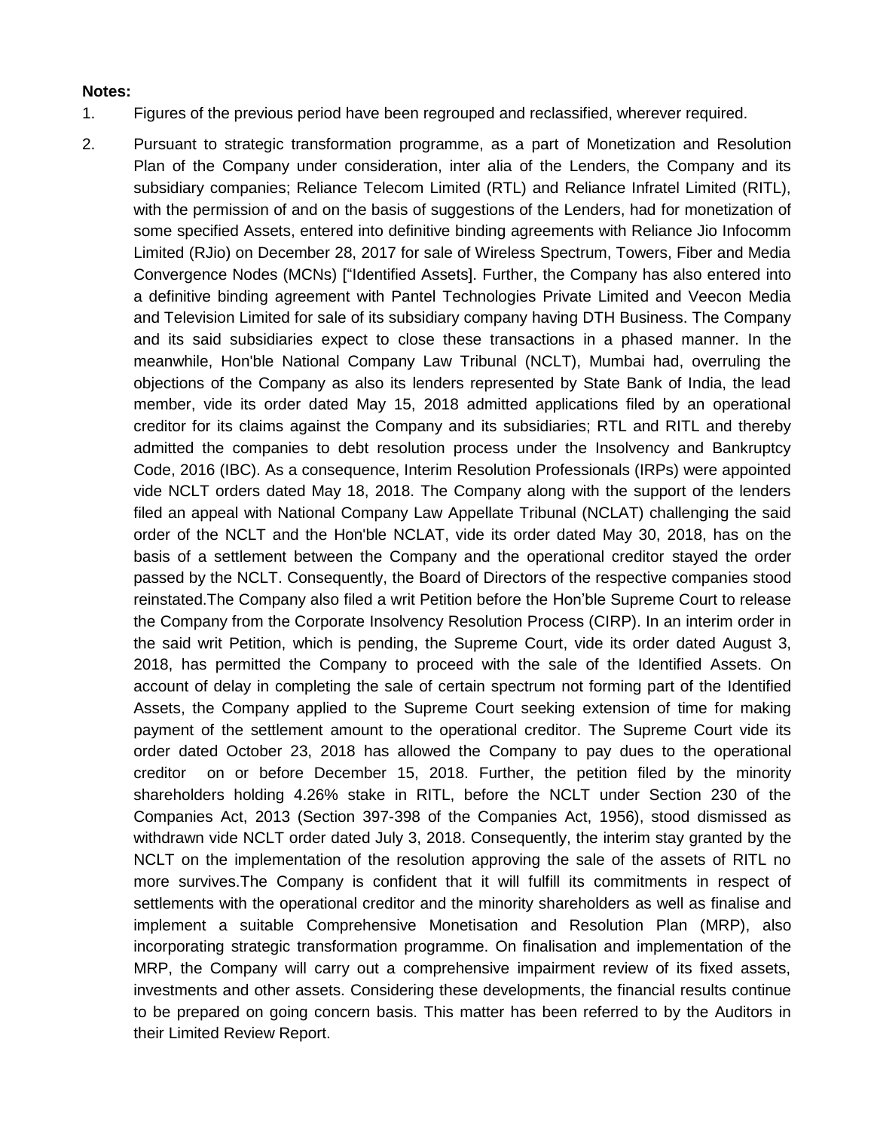## **Notes:**

- 1. Figures of the previous period have been regrouped and reclassified, wherever required.
- 2. Pursuant to strategic transformation programme, as a part of Monetization and Resolution Plan of the Company under consideration, inter alia of the Lenders, the Company and its subsidiary companies; Reliance Telecom Limited (RTL) and Reliance Infratel Limited (RITL), with the permission of and on the basis of suggestions of the Lenders, had for monetization of some specified Assets, entered into definitive binding agreements with Reliance Jio Infocomm Limited (RJio) on December 28, 2017 for sale of Wireless Spectrum, Towers, Fiber and Media Convergence Nodes (MCNs) ["Identified Assets]. Further, the Company has also entered into a definitive binding agreement with Pantel Technologies Private Limited and Veecon Media and Television Limited for sale of its subsidiary company having DTH Business. The Company and its said subsidiaries expect to close these transactions in a phased manner. In the meanwhile, Hon'ble National Company Law Tribunal (NCLT), Mumbai had, overruling the objections of the Company as also its lenders represented by State Bank of India, the lead member, vide its order dated May 15, 2018 admitted applications filed by an operational creditor for its claims against the Company and its subsidiaries; RTL and RITL and thereby admitted the companies to debt resolution process under the Insolvency and Bankruptcy Code, 2016 (IBC). As a consequence, Interim Resolution Professionals (IRPs) were appointed vide NCLT orders dated May 18, 2018. The Company along with the support of the lenders filed an appeal with National Company Law Appellate Tribunal (NCLAT) challenging the said order of the NCLT and the Hon'ble NCLAT, vide its order dated May 30, 2018, has on the basis of a settlement between the Company and the operational creditor stayed the order passed by the NCLT. Consequently, the Board of Directors of the respective companies stood reinstated.The Company also filed a writ Petition before the Hon"ble Supreme Court to release the Company from the Corporate Insolvency Resolution Process (CIRP). In an interim order in the said writ Petition, which is pending, the Supreme Court, vide its order dated August 3, 2018, has permitted the Company to proceed with the sale of the Identified Assets. On account of delay in completing the sale of certain spectrum not forming part of the Identified Assets, the Company applied to the Supreme Court seeking extension of time for making payment of the settlement amount to the operational creditor. The Supreme Court vide its order dated October 23, 2018 has allowed the Company to pay dues to the operational creditor on or before December 15, 2018. Further, the petition filed by the minority shareholders holding 4.26% stake in RITL, before the NCLT under Section 230 of the Companies Act, 2013 (Section 397-398 of the Companies Act, 1956), stood dismissed as withdrawn vide NCLT order dated July 3, 2018. Consequently, the interim stay granted by the NCLT on the implementation of the resolution approving the sale of the assets of RITL no more survives.The Company is confident that it will fulfill its commitments in respect of settlements with the operational creditor and the minority shareholders as well as finalise and implement a suitable Comprehensive Monetisation and Resolution Plan (MRP), also incorporating strategic transformation programme. On finalisation and implementation of the MRP, the Company will carry out a comprehensive impairment review of its fixed assets, investments and other assets. Considering these developments, the financial results continue to be prepared on going concern basis. This matter has been referred to by the Auditors in their Limited Review Report.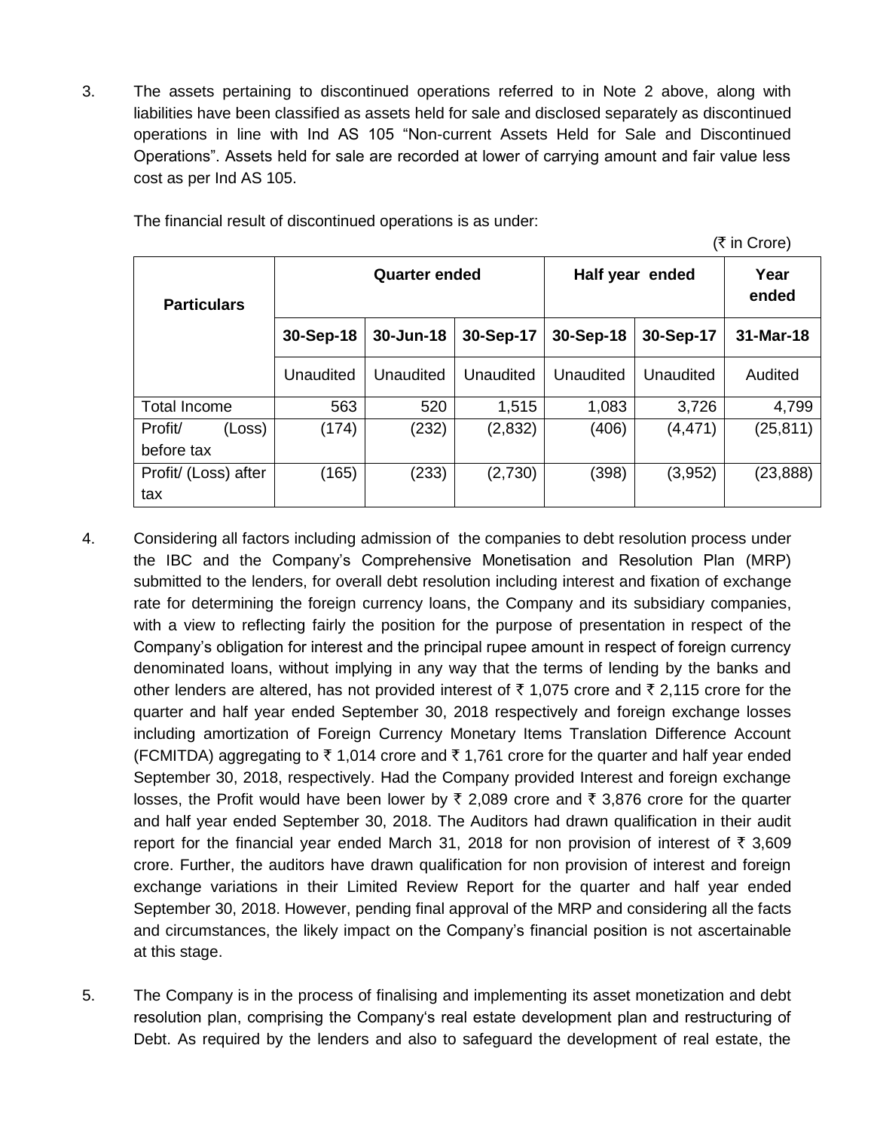3. The assets pertaining to discontinued operations referred to in Note 2 above, along with liabilities have been classified as assets held for sale and disclosed separately as discontinued operations in line with Ind AS 105 "Non-current Assets Held for Sale and Discontinued Operations". Assets held for sale are recorded at lower of carrying amount and fair value less cost as per Ind AS 105.

|                                 |               |           |           |                 |               | (₹ in Crore) |
|---------------------------------|---------------|-----------|-----------|-----------------|---------------|--------------|
| <b>Particulars</b>              | Quarter ended |           |           | Half year ended | Year<br>ended |              |
|                                 | 30-Sep-18     | 30-Jun-18 | 30-Sep-17 | 30-Sep-18       | 30-Sep-17     | 31-Mar-18    |
|                                 | Unaudited     | Unaudited | Unaudited | Unaudited       | Unaudited     | Audited      |
| <b>Total Income</b>             | 563           | 520       | 1,515     | 1,083           | 3,726         | 4,799        |
| Profit/<br>(Loss)<br>before tax | (174)         | (232)     | (2,832)   | (406)           | (4, 471)      | (25, 811)    |
| Profit/ (Loss) after<br>tax     | (165)         | (233)     | (2,730)   | (398)           | (3,952)       | (23, 888)    |

The financial result of discontinued operations is as under:

- 4. Considering all factors including admission of the companies to debt resolution process under the IBC and the Company"s Comprehensive Monetisation and Resolution Plan (MRP) submitted to the lenders, for overall debt resolution including interest and fixation of exchange rate for determining the foreign currency loans, the Company and its subsidiary companies, with a view to reflecting fairly the position for the purpose of presentation in respect of the Company"s obligation for interest and the principal rupee amount in respect of foreign currency denominated loans, without implying in any way that the terms of lending by the banks and other lenders are altered, has not provided interest of  $\bar{\tau}$  1,075 crore and  $\bar{\tau}$  2,115 crore for the quarter and half year ended September 30, 2018 respectively and foreign exchange losses including amortization of Foreign Currency Monetary Items Translation Difference Account (FCMITDA) aggregating to  $\bar{\tau}$  1,014 crore and  $\bar{\tau}$  1,761 crore for the quarter and half year ended September 30, 2018, respectively. Had the Company provided Interest and foreign exchange losses, the Profit would have been lower by  $\bar{\tau}$  2,089 crore and  $\bar{\tau}$  3,876 crore for the quarter and half year ended September 30, 2018. The Auditors had drawn qualification in their audit report for the financial year ended March 31, 2018 for non provision of interest of  $\bar{\tau}$  3,609 crore. Further, the auditors have drawn qualification for non provision of interest and foreign exchange variations in their Limited Review Report for the quarter and half year ended September 30, 2018. However, pending final approval of the MRP and considering all the facts and circumstances, the likely impact on the Company"s financial position is not ascertainable at this stage.
- 5. The Company is in the process of finalising and implementing its asset monetization and debt resolution plan, comprising the Company's real estate development plan and restructuring of Debt. As required by the lenders and also to safeguard the development of real estate, the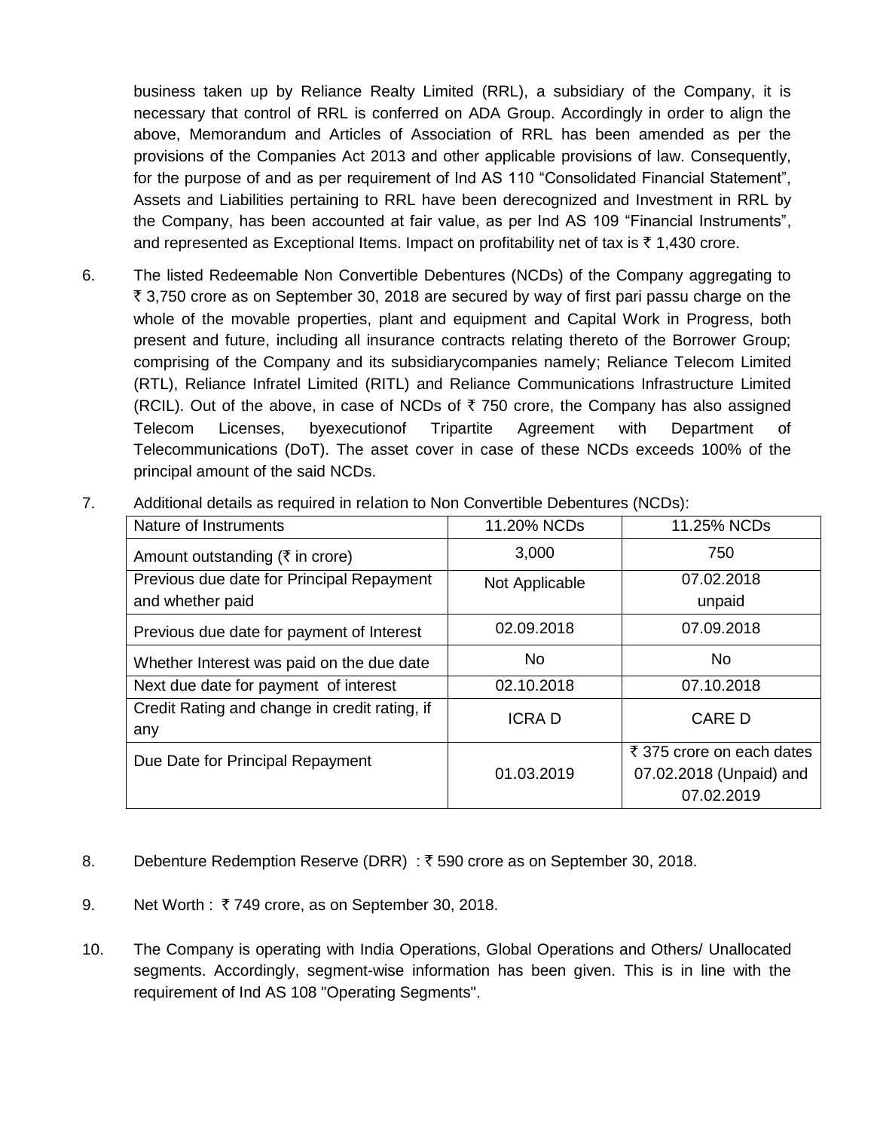business taken up by Reliance Realty Limited (RRL), a subsidiary of the Company, it is necessary that control of RRL is conferred on ADA Group. Accordingly in order to align the above, Memorandum and Articles of Association of RRL has been amended as per the provisions of the Companies Act 2013 and other applicable provisions of law. Consequently, for the purpose of and as per requirement of Ind AS 110 "Consolidated Financial Statement", Assets and Liabilities pertaining to RRL have been derecognized and Investment in RRL by the Company, has been accounted at fair value, as per Ind AS 109 "Financial Instruments", and represented as Exceptional Items. Impact on profitability net of tax is  $\bar{\tau}$  1,430 crore.

6. The listed Redeemable Non Convertible Debentures (NCDs) of the Company aggregating to  $\bar{\tau}$  3,750 crore as on September 30, 2018 are secured by way of first pari passu charge on the whole of the movable properties, plant and equipment and Capital Work in Progress, both present and future, including all insurance contracts relating thereto of the Borrower Group; comprising of the Company and its subsidiarycompanies namely; Reliance Telecom Limited (RTL), Reliance Infratel Limited (RITL) and Reliance Communications Infrastructure Limited (RCIL). Out of the above, in case of NCDs of  $\bar{\tau}$  750 crore, the Company has also assigned Telecom Licenses, byexecutionof Tripartite Agreement with Department of Telecommunications (DoT). The asset cover in case of these NCDs exceeds 100% of the principal amount of the said NCDs.

| Nature of Instruments                         | 11.20% NCDs    | 11.25% NCDs               |  |  |
|-----------------------------------------------|----------------|---------------------------|--|--|
| Amount outstanding ( $\bar{\tau}$ in crore)   | 3,000          | 750                       |  |  |
| Previous due date for Principal Repayment     | Not Applicable | 07.02.2018                |  |  |
| and whether paid                              |                | unpaid                    |  |  |
| Previous due date for payment of Interest     | 02.09.2018     | 07.09.2018                |  |  |
| Whether Interest was paid on the due date     | No.            | No.                       |  |  |
| Next due date for payment of interest         | 02.10.2018     | 07.10.2018                |  |  |
| Credit Rating and change in credit rating, if | <b>ICRAD</b>   | <b>CARE D</b>             |  |  |
| any                                           |                |                           |  |  |
| Due Date for Principal Repayment              |                | ₹ 375 crore on each dates |  |  |
|                                               | 01.03.2019     | 07.02.2018 (Unpaid) and   |  |  |
|                                               |                | 07.02.2019                |  |  |

7. Additional details as required in relation to Non Convertible Debentures (NCDs):

- 8. Debenture Redemption Reserve (DRR) : ₹590 crore as on September 30, 2018.
- 9. Net Worth :  $\overline{\xi}$  749 crore, as on September 30, 2018.
- 10. The Company is operating with India Operations, Global Operations and Others/ Unallocated segments. Accordingly, segment-wise information has been given. This is in line with the requirement of Ind AS 108 "Operating Segments".